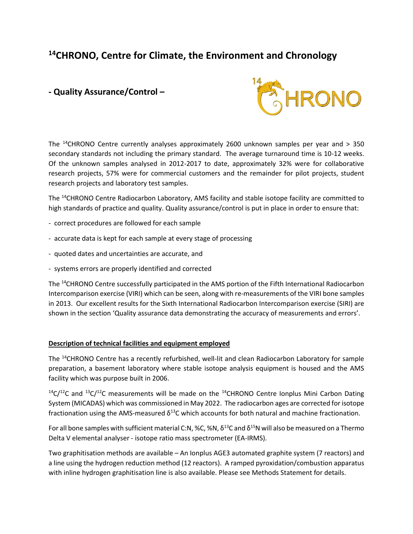# **<sup>14</sup>CHRONO, Centre for Climate, the Environment and Chronology**

## **- Quality Assurance/Control –**



The <sup>14</sup>CHRONO Centre currently analyses approximately 2600 unknown samples per year and  $>$  350 secondary standards not including the primary standard. The average turnaround time is 10-12 weeks. Of the unknown samples analysed in 2012-2017 to date, approximately 32% were for collaborative research projects, 57% were for commercial customers and the remainder for pilot projects, student research projects and laboratory test samples.

The <sup>14</sup>CHRONO Centre Radiocarbon Laboratory, AMS facility and stable isotope facility are committed to high standards of practice and quality. Quality assurance/control is put in place in order to ensure that:

- correct procedures are followed for each sample
- accurate data is kept for each sample at every stage of processing
- quoted dates and uncertainties are accurate, and
- systems errors are properly identified and corrected

The <sup>14</sup>CHRONO Centre successfully participated in the AMS portion of the Fifth International Radiocarbon Intercomparison exercise (VIRI) which can be seen, along with re-measurements of the VIRI bone samples in 2013. Our excellent results for the Sixth International Radiocarbon Intercomparison exercise (SIRI) are shown in the section 'Quality assurance data demonstrating the accuracy of measurements and errors'.

## **Description of technical facilities and equipment employed**

The <sup>14</sup>CHRONO Centre has a recently refurbished, well-lit and clean Radiocarbon Laboratory for sample preparation, a basement laboratory where stable isotope analysis equipment is housed and the AMS facility which was purpose built in 2006.

 $14C/12C$  and  $13C/12C$  measurements will be made on the  $14C$ HRONO Centre Ionplus Mini Carbon Dating System (MICADAS) which was commissioned in May 2022. The radiocarbon ages are corrected for isotope fractionation using the AMS-measured  $\delta^{13}$ C which accounts for both natural and machine fractionation.

For all bone samples with sufficient material C:N, %C, %N,  $\delta^{13}$ C and  $\delta^{15}$ N will also be measured on a Thermo Delta V elemental analyser - isotope ratio mass spectrometer (EA-IRMS).

Two graphitisation methods are available – An Ionplus AGE3 automated graphite system (7 reactors) and a line using the hydrogen reduction method (12 reactors). A ramped pyroxidation/combustion apparatus with inline hydrogen graphitisation line is also available. Please see Methods Statement for details.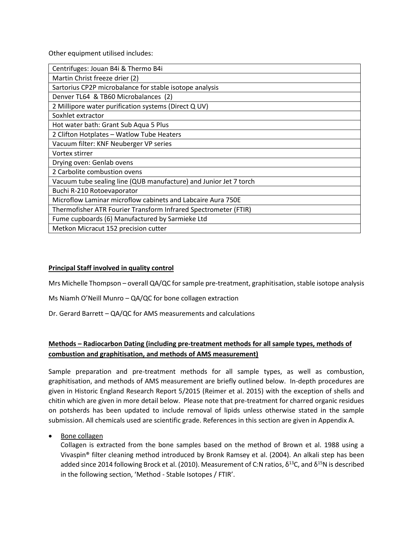Other equipment utilised includes:

| Centrifuges: Jouan B4i & Thermo B4i                               |
|-------------------------------------------------------------------|
| Martin Christ freeze drier (2)                                    |
| Sartorius CP2P microbalance for stable isotope analysis           |
| Denver TL64 & TB60 Microbalances (2)                              |
| 2 Millipore water purification systems (Direct Q UV)              |
| Soxhlet extractor                                                 |
| Hot water bath: Grant Sub Aqua 5 Plus                             |
| 2 Clifton Hotplates - Watlow Tube Heaters                         |
| Vacuum filter: KNF Neuberger VP series                            |
| Vortex stirrer                                                    |
| Drying oven: Genlab ovens                                         |
| 2 Carbolite combustion ovens                                      |
| Vacuum tube sealing line (QUB manufacture) and Junior Jet 7 torch |
| Buchi R-210 Rotoevaporator                                        |
| Microflow Laminar microflow cabinets and Labcaire Aura 750E       |
| Thermofisher ATR Fourier Transform Infrared Spectrometer (FTIR)   |
| Fume cupboards (6) Manufactured by Sarmieke Ltd                   |
| Metkon Micracut 152 precision cutter                              |

#### **Principal Staff involved in quality control**

Mrs Michelle Thompson – overall QA/QC for sample pre-treatment, graphitisation, stable isotope analysis

Ms Niamh O'Neill Munro – QA/QC for bone collagen extraction

Dr. Gerard Barrett – QA/QC for AMS measurements and calculations

## **Methods – Radiocarbon Dating (including pre-treatment methods for all sample types, methods of combustion and graphitisation, and methods of AMS measurement)**

Sample preparation and pre-treatment methods for all sample types, as well as combustion, graphitisation, and methods of AMS measurement are briefly outlined below. In-depth procedures are given in Historic England Research Report 5/2015 (Reimer et al. 2015) with the exception of shells and chitin which are given in more detail below. Please note that pre-treatment for charred organic residues on potsherds has been updated to include removal of lipids unless otherwise stated in the sample submission. All chemicals used are scientific grade. References in this section are given in Appendix A.

• Bone collagen

Collagen is extracted from the bone samples based on the method of Brown et al. 1988 using a Vivaspin® filter cleaning method introduced by Bronk Ramsey et al. (2004). An alkali step has been added since 2014 following Brock et al. (2010). Measurement of C:N ratios,  $\delta^{13}$ C, and  $\delta^{15}$ N is described in the following section, 'Method - Stable Isotopes / FTIR'.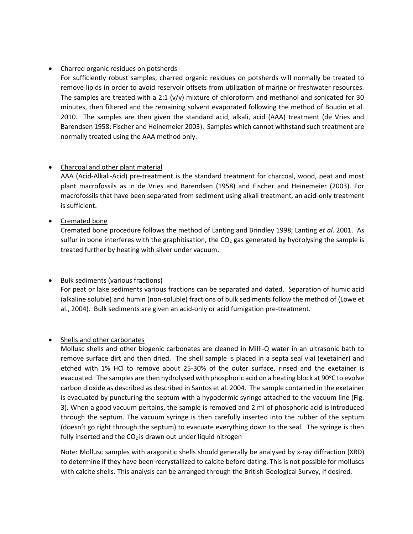## • Charred organic residues on potsherds

For sufficiently robust samples, charred organic residues on potsherds will normally be treated to remove lipids in order to avoid reservoir offsets from utilization of marine or freshwater resources. The samples are treated with a 2:1  $(v/v)$  mixture of chloroform and methanol and sonicated for 30 minutes, then filtered and the remaining solvent evaporated following the method of Boudin et al. 2010. The samples are then given the standard acid, alkali, acid (AAA) treatment (de Vries and Barendsen 1958; Fischer and Heinemeier 2003). Samples which cannot withstand such treatment are normally treated using the AAA method only.

## • Charcoal and other plant material

AAA (Acid-Alkali-Acid) pre-treatment is the standard treatment for charcoal, wood, peat and most plant macrofossils as in de Vries and Barendsen (1958) and Fischer and Heinemeier (2003). For macrofossils that have been separated from sediment using alkali treatment, an acid-only treatment is sufficient.

## • Cremated bone

Cremated bone procedure follows the method of Lanting and Brindley 1998; Lanting *et al*. 2001. As sulfur in bone interferes with the graphitisation, the  $CO<sub>2</sub>$  gas generated by hydrolysing the sample is treated further by heating with silver under vacuum.

## • Bulk sediments (various fractions)

For peat or lake sediments various fractions can be separated and dated. Separation of humic acid (alkaline soluble) and humin (non-soluble) fractions of bulk sediments follow the method of (Lowe et al., 2004). Bulk sediments are given an acid-only or acid fumigation pre-treatment.

## • Shells and other carbonates

Mollusc shells and other biogenic carbonates are cleaned in Milli-Q water in an ultrasonic bath to remove surface dirt and then dried. The shell sample is placed in a septa seal vial (exetainer) and etched with 1% HCl to remove about 25-30% of the outer surface, rinsed and the exetainer is evacuated. The samples are then hydrolysed with phosphoric acid on a heating block at 90 $\degree$ C to evolve carbon dioxide as described as described in Santos et al. 2004. The sample contained in the exetainer is evacuated by puncturing the septum with a hypodermic syringe attached to the vacuum line (Fig. 3). When a good vacuum pertains, the sample is removed and 2 ml of phosphoric acid is introduced through the septum. The vacuum syringe is then carefully inserted into the rubber of the septum (doesn't go right through the septum) to evacuate everything down to the seal. The syringe is then fully inserted and the  $CO<sub>2</sub>$  is drawn out under liquid nitrogen

Note: Mollusc samples with aragonitic shells should generally be analysed by x-ray diffraction (XRD) to determine if they have been recrystallized to calcite before dating. This is not possible for molluscs with calcite shells. This analysis can be arranged through the British Geological Survey, if desired.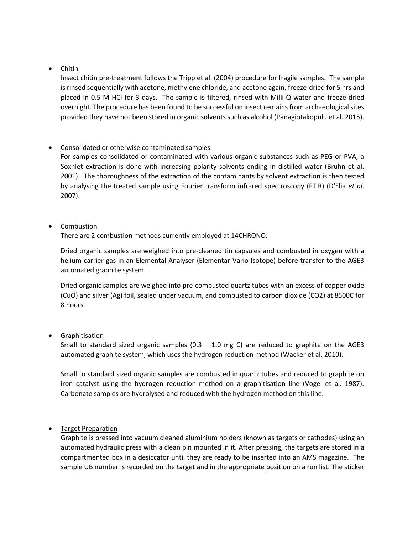## • Chitin

Insect chitin pre-treatment follows the Tripp et al. (2004) procedure for fragile samples. The sample is rinsed sequentially with acetone, methylene chloride, and acetone again, freeze-dried for 5 hrs and placed in 0.5 M HCl for 3 days. The sample is filtered, rinsed with Milli-Q water and freeze-dried overnight. The procedure has been found to be successful on insect remains from archaeological sites provided they have not been stored in organic solvents such as alcohol (Panagiotakopulu et al. 2015).

## • Consolidated or otherwise contaminated samples

For samples consolidated or contaminated with various organic substances such as PEG or PVA, a Soxhlet extraction is done with increasing polarity solvents ending in distilled water (Bruhn et al. 2001). The thoroughness of the extraction of the contaminants by solvent extraction is then tested by analysing the treated sample using Fourier transform infrared spectroscopy (FTIR) (D'Elia *et al*. 2007).

## • Combustion

There are 2 combustion methods currently employed at 14CHRONO.

Dried organic samples are weighed into pre-cleaned tin capsules and combusted in oxygen with a helium carrier gas in an Elemental Analyser (Elementar Vario Isotope) before transfer to the AGE3 automated graphite system.

Dried organic samples are weighed into pre-combusted quartz tubes with an excess of copper oxide (CuO) and silver (Ag) foil, sealed under vacuum, and combusted to carbon dioxide (CO2) at 8500C for 8 hours.

## • Graphitisation

Small to standard sized organic samples  $(0.3 - 1.0 \text{ mg C})$  are reduced to graphite on the AGE3 automated graphite system, which uses the hydrogen reduction method (Wacker et al. 2010).

Small to standard sized organic samples are combusted in quartz tubes and reduced to graphite on iron catalyst using the hydrogen reduction method on a graphitisation line (Vogel et al. 1987). Carbonate samples are hydrolysed and reduced with the hydrogen method on this line.

## • Target Preparation

Graphite is pressed into vacuum cleaned aluminium holders (known as targets or cathodes) using an automated hydraulic press with a clean pin mounted in it. After pressing, the targets are stored in a compartmented box in a desiccator until they are ready to be inserted into an AMS magazine. The sample UB number is recorded on the target and in the appropriate position on a run list. The sticker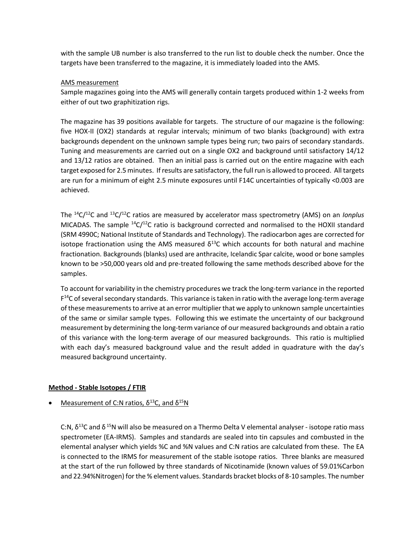with the sample UB number is also transferred to the run list to double check the number. Once the targets have been transferred to the magazine, it is immediately loaded into the AMS.

#### AMS measurement

Sample magazines going into the AMS will generally contain targets produced within 1-2 weeks from either of out two graphitization rigs.

The magazine has 39 positions available for targets. The structure of our magazine is the following: five HOX-II (OX2) standards at regular intervals; minimum of two blanks (background) with extra backgrounds dependent on the unknown sample types being run; two pairs of secondary standards. Tuning and measurements are carried out on a single OX2 and background until satisfactory 14/12 and 13/12 ratios are obtained. Then an initial pass is carried out on the entire magazine with each target exposed for 2.5 minutes. If results are satisfactory, the full run is allowed to proceed. All targets are run for a minimum of eight 2.5 minute exposures until F14C uncertainties of typically <0.003 are achieved.

The <sup>14</sup>C/<sup>12</sup>C and <sup>13</sup>C/<sup>12</sup>C ratios are measured by accelerator mass spectrometry (AMS) on an *Ionplus* MICADAS. The sample  ${}^{14}C/{}^{12}C$  ratio is background corrected and normalised to the HOXII standard (SRM 4990C; National Institute of Standards and Technology). The radiocarbon ages are corrected for isotope fractionation using the AMS measured  $\delta^{13}$ C which accounts for both natural and machine fractionation. Backgrounds (blanks) used are anthracite, Icelandic Spar calcite, wood or bone samples known to be >50,000 years old and pre-treated following the same methods described above for the samples.

To account for variability in the chemistry procedures we track the long-term variance in the reported F<sup>14</sup>C of several secondary standards. This variance is taken in ratio with the average long-term average of these measurements to arrive at an error multiplier that we apply to unknown sample uncertainties of the same or similar sample types. Following this we estimate the uncertainty of our background measurement by determining the long-term variance of our measured backgrounds and obtain a ratio of this variance with the long-term average of our measured backgrounds. This ratio is multiplied with each day's measured background value and the result added in quadrature with the day's measured background uncertainty.

## **Method - Stable Isotopes / FTIR**

## Measurement of C:N ratios,  $δ<sup>13</sup>C$ , and  $δ<sup>15</sup>N$

C:N,  $\delta^{13}$ C and  $\delta^{15}$ N will also be measured on a Thermo Delta V elemental analyser - isotope ratio mass spectrometer (EA-IRMS). Samples and standards are sealed into tin capsules and combusted in the elemental analyser which yields %C and %N values and C:N ratios are calculated from these. The EA is connected to the IRMS for measurement of the stable isotope ratios. Three blanks are measured at the start of the run followed by three standards of Nicotinamide (known values of 59.01%Carbon and 22.94%Nitrogen) for the % element values. Standards bracket blocks of 8-10 samples. The number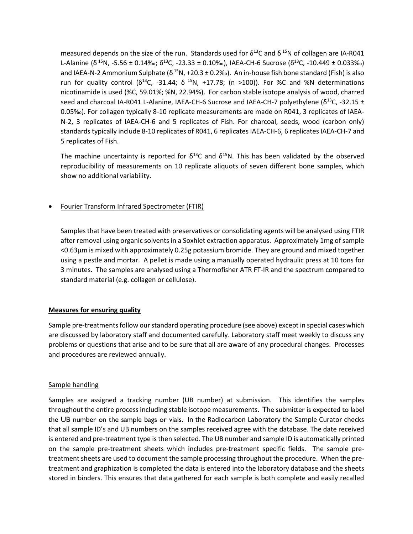measured depends on the size of the run. Standards used for  $\delta^{13}$ C and  $\delta^{15}$ N of collagen are IA-R041 L-Alanine (δ<sup>15</sup>N, -5.56 ± 0.14‰; δ<sup>13</sup>C, -23.33 ± 0.10‰), IAEA-CH-6 Sucrose (δ<sup>13</sup>C, -10.449 ± 0.033‰) and IAEA-N-2 Ammonium Sulphate (δ<sup>15</sup>N, +20.3 ± 0.2‰). An in-house fish bone standard (Fish) is also run for quality control ( $\delta^{13}C$ , -31.44;  $\delta^{15}N$ , +17.78; (n >100)). For %C and %N determinations nicotinamide is used (%C, 59.01%; %N, 22.94%). For carbon stable isotope analysis of wood, charred seed and charcoal IA-R041 L-Alanine, IAEA-CH-6 Sucrose and IAEA-CH-7 polyethylene ( $\delta^{13}$ C, -32.15 ± 0.05‰). For collagen typically 8-10 replicate measurements are made on R041, 3 replicates of IAEA-N-2, 3 replicates of IAEA-CH-6 and 5 replicates of Fish. For charcoal, seeds, wood (carbon only) standards typically include 8-10 replicates of R041, 6 replicates IAEA-CH-6, 6 replicates IAEA-CH-7 and 5 replicates of Fish.

The machine uncertainty is reported for  $\delta^{13}$ C and  $\delta^{15}$ N. This has been validated by the observed reproducibility of measurements on 10 replicate aliquots of seven different bone samples, which show no additional variability.

## • Fourier Transform Infrared Spectrometer (FTIR)

Samples that have been treated with preservatives or consolidating agents will be analysed using FTIR after removal using organic solvents in a Soxhlet extraction apparatus. Approximately 1mg of sample <0.63µm is mixed with approximately 0.25g potassium bromide. They are ground and mixed together using a pestle and mortar. A pellet is made using a manually operated hydraulic press at 10 tons for 3 minutes. The samples are analysed using a Thermofisher ATR FT-IR and the spectrum compared to standard material (e.g. collagen or cellulose).

#### **Measures for ensuring quality**

Sample pre-treatments follow our standard operating procedure (see above) except in special cases which are discussed by laboratory staff and documented carefully. Laboratory staff meet weekly to discuss any problems or questions that arise and to be sure that all are aware of any procedural changes. Processes and procedures are reviewed annually.

#### Sample handling

Samples are assigned a tracking number (UB number) at submission. This identifies the samples throughout the entire process including stable isotope measurements. The submitter is expected to label the UB number on the sample bags or vials. In the Radiocarbon Laboratory the Sample Curator checks that all sample ID's and UB numbers on the samples received agree with the database. The date received is entered and pre-treatment type is then selected. The UB number and sample ID is automatically printed on the sample pre-treatment sheets which includes pre-treatment specific fields. The sample pretreatment sheets are used to document the sample processing throughout the procedure. When the pretreatment and graphization is completed the data is entered into the laboratory database and the sheets stored in binders. This ensures that data gathered for each sample is both complete and easily recalled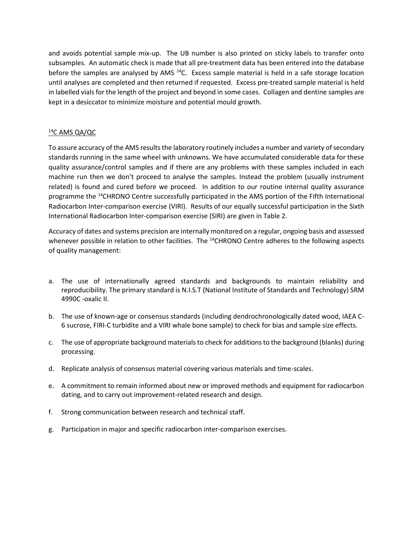and avoids potential sample mix-up. The UB number is also printed on sticky labels to transfer onto subsamples. An automatic check is made that all pre-treatment data has been entered into the database before the samples are analysed by AMS  $^{14}$ C. Excess sample material is held in a safe storage location until analyses are completed and then returned if requested. Excess pre-treated sample material is held in labelled vials for the length of the project and beyond in some cases. Collagen and dentine samples are kept in a desiccator to minimize moisture and potential mould growth.

#### <sup>14</sup>C AMS QA/QC

To assure accuracy of the AMS results the laboratory routinely includes a number and variety of secondary standards running in the same wheel with unknowns. We have accumulated considerable data for these quality assurance/control samples and if there are any problems with these samples included in each machine run then we don't proceed to analyse the samples. Instead the problem (usually instrument related) is found and cured before we proceed. In addition to our routine internal quality assurance programme the <sup>14</sup>CHRONO Centre successfully participated in the AMS portion of the Fifth International Radiocarbon Inter-comparison exercise (VIRI). Results of our equally successful participation in the Sixth International Radiocarbon Inter-comparison exercise (SIRI) are given in Table 2.

Accuracy of dates and systems precision are internally monitored on a regular, ongoing basis and assessed whenever possible in relation to other facilities. The <sup>14</sup>CHRONO Centre adheres to the following aspects of quality management:

- a. The use of internationally agreed standards and backgrounds to maintain reliability and reproducibility. The primary standard is N.I.S.T (National Institute of Standards and Technology) SRM 4990C -oxalic II.
- b. The use of known-age or consensus standards (including dendrochronologically dated wood, IAEA C-6 sucrose, FIRI-C turbidite and a VIRI whale bone sample) to check for bias and sample size effects.
- c. The use of appropriate background materials to check for additions to the background (blanks) during processing.
- d. Replicate analysis of consensus material covering various materials and time-scales.
- e. A commitment to remain informed about new or improved methods and equipment for radiocarbon dating, and to carry out improvement-related research and design.
- f. Strong communication between research and technical staff.
- g. Participation in major and specific radiocarbon inter-comparison exercises.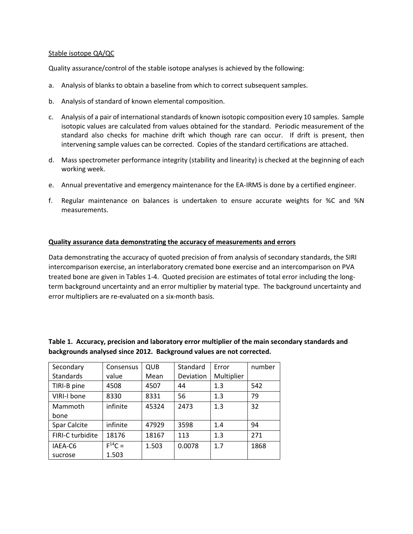#### Stable isotope QA/QC

Quality assurance/control of the stable isotope analyses is achieved by the following:

- a. Analysis of blanks to obtain a baseline from which to correct subsequent samples.
- b. Analysis of standard of known elemental composition.
- c. Analysis of a pair of international standards of known isotopic composition every 10 samples. Sample isotopic values are calculated from values obtained for the standard. Periodic measurement of the standard also checks for machine drift which though rare can occur. If drift is present, then intervening sample values can be corrected. Copies of the standard certifications are attached.
- d. Mass spectrometer performance integrity (stability and linearity) is checked at the beginning of each working week.
- e. Annual preventative and emergency maintenance for the EA-IRMS is done by a certified engineer.
- f. Regular maintenance on balances is undertaken to ensure accurate weights for %C and %N measurements.

#### **Quality assurance data demonstrating the accuracy of measurements and errors**

Data demonstrating the accuracy of quoted precision of from analysis of secondary standards, the SIRI intercomparison exercise, an interlaboratory cremated bone exercise and an intercomparison on PVA treated bone are given in Tables 1-4. Quoted precision are estimates of total error including the longterm background uncertainty and an error multiplier by material type. The background uncertainty and error multipliers are re-evaluated on a six-month basis.

| Secondary        | Consensus   | QUB   | Standard  | Error      | number |
|------------------|-------------|-------|-----------|------------|--------|
| Standards        | value       | Mean  | Deviation | Multiplier |        |
| TIRI-B pine      | 4508        | 4507  | 44        | 1.3        | 542    |
| VIRI-I bone      | 8330        | 8331  | 56        | 1.3        | 79     |
| Mammoth          | infinite    | 45324 | 2473      | 1.3        | 32     |
| bone             |             |       |           |            |        |
| Spar Calcite     | infinite    | 47929 | 3598      | 1.4        | 94     |
| FIRI-C turbidite | 18176       | 18167 | 113       | 1.3        | 271    |
| IAEA-C6          | $F^{14}C =$ | 1.503 | 0.0078    | 1.7        | 1868   |
| sucrose          | 1.503       |       |           |            |        |

**Table 1. Accuracy, precision and laboratory error multiplier of the main secondary standards and backgrounds analysed since 2012. Background values are not corrected.**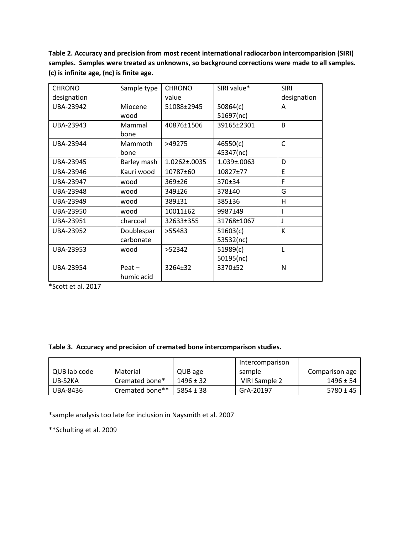**Table 2. Accuracy and precision from most recent international radiocarbon intercomparision (SIRI) samples. Samples were treated as unknowns, so background corrections were made to all samples. (c) is infinite age, (nc) is finite age.**

| <b>CHRONO</b> | Sample type            | <b>CHRONO</b> | SIRI value* | <b>SIRI</b>  |
|---------------|------------------------|---------------|-------------|--------------|
| designation   |                        | value         |             | designation  |
| UBA-23942     | Miocene                | 51088±2945    | 50864(c)    | A            |
|               | wood                   |               | 51697(nc)   |              |
| UBA-23943     | Mammal                 | 40876±1506    | 39165±2301  | B            |
|               | bone                   |               |             |              |
| UBA-23944     | Mammoth                | >49275        | 46550(c)    | $\mathsf{C}$ |
|               | bone                   |               | 45347(nc)   |              |
| UBA-23945     | Barley mash            | 1.0262±.0035  | 1.039±.0063 | D            |
| UBA-23946     | Kauri wood             | 10787±60      | 10827±77    | E            |
| UBA-23947     | wood                   | 369±26        | 370±34      | F            |
| UBA-23948     | wood                   | 349±26        | 378±40      | G            |
| UBA-23949     | wood                   | 389±31        | 385±36      | Η            |
| UBA-23950     | wood                   | 10011±62      | 9987±49     |              |
| UBA-23951     | charcoal               | 32633±355     | 31768±1067  | J            |
| UBA-23952     | Doublespar             | >55483        | 51603(c)    | K            |
|               | carbonate              |               | 53532(nc)   |              |
| UBA-23953     | wood                   | >52342        | 51989(c)    | L            |
|               |                        |               | 50195(nc)   |              |
| UBA-23954     | $Peat -$<br>humic acid | 3264±32       | 3370±52     | N            |

\*Scott et al. 2017

#### **Table 3. Accuracy and precision of cremated bone intercomparison studies.**

|              |                 |               | Intercomparison |                |
|--------------|-----------------|---------------|-----------------|----------------|
| QUB lab code | Material        | QUB age       | sample          | Comparison age |
| UB-S2KA      | Cremated bone*  | $1496 \pm 32$ | VIRI Sample 2   | $1496 \pm 54$  |
| UBA-8436     | Cremated bone** | $5854 \pm 38$ | GrA-20197       | $5780 \pm 45$  |

\*sample analysis too late for inclusion in Naysmith et al. 2007

\*\*Schulting et al. 2009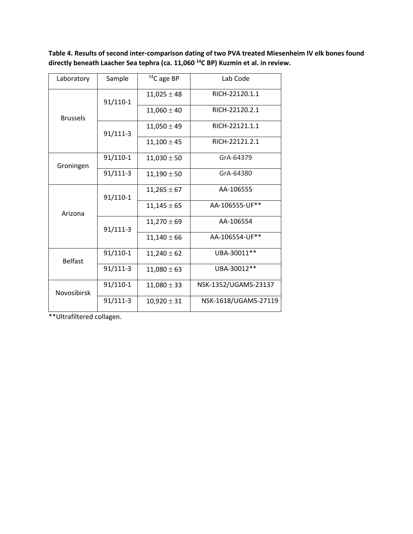**Table 4. Results of second inter-comparison dating of two PVA treated Miesenheim IV elk bones found directly beneath Laacher Sea tephra (ca. 11,060 <sup>14</sup>C BP) Kuzmin et al. in review.**

| Laboratory         | Sample     | $14$ C age BP<br>Lab Code |                      |
|--------------------|------------|---------------------------|----------------------|
| <b>Brussels</b>    | 91/110-1   | $11,025 \pm 48$           | RICH-22120.1.1       |
|                    |            | $11,060 \pm 40$           | RICH-22120.2.1       |
|                    | 91/111-3   | $11,050 \pm 49$           | RICH-22121.1.1       |
|                    |            | $11,100 \pm 45$           | RICH-22121.2.1       |
| Groningen          | 91/110-1   | $11,030 \pm 50$           | GrA-64379            |
|                    | $91/111-3$ | $11,190 \pm 50$           | GrA-64380            |
| Arizona            | 91/110-1   | $11,265 \pm 67$           | AA-106555            |
|                    |            | $11,145 \pm 65$           | AA-106555-UF**       |
|                    | 91/111-3   | $11,270 \pm 69$           | AA-106554            |
|                    |            | $11,140 \pm 66$           | AA-106554-UF**       |
| <b>Belfast</b>     | 91/110-1   | $11,240 \pm 62$           | UBA-30011**          |
|                    | 91/111-3   | $11,080 \pm 63$           | UBA-30012**          |
| <b>Novosibirsk</b> | 91/110-1   | $11,080 \pm 33$           | NSK-1352/UGAMS-23137 |
|                    | 91/111-3   | $10,920 \pm 31$           | NSK-1618/UGAMS-27119 |

\*\*Ultrafiltered collagen.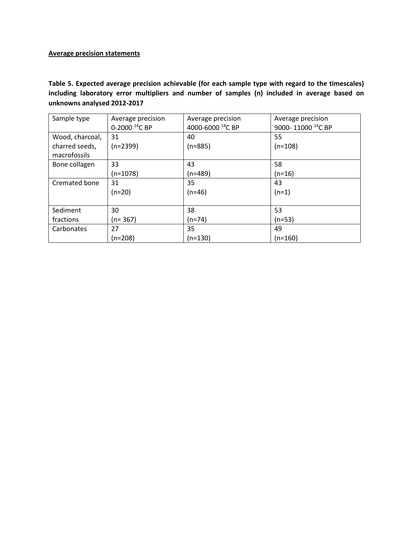## **Average precision statements**

**Table 5. Expected average precision achievable (for each sample type with regard to the timescales) including laboratory error multipliers and number of samples (n) included in average based on unknowns analysed 2012-2017**

| Sample type     |                           |                              |                               |
|-----------------|---------------------------|------------------------------|-------------------------------|
|                 | Average precision         | Average precision            | Average precision             |
|                 | 0-2000 <sup>14</sup> C BP | 4000-6000 <sup>14</sup> C BP | 9000-11000 <sup>14</sup> C BP |
| Wood, charcoal, | 31                        | 40                           | 55                            |
| charred seeds,  | $(n=2399)$                | $(n=885)$                    | (n=108)                       |
| macrofossils    |                           |                              |                               |
| Bone collagen   | 33                        | 43                           | 58                            |
|                 | $(n=1078)$                | $(n=489)$                    | (n=16)                        |
| Cremated bone   | 31                        | 35                           | 43                            |
|                 | $(n=20)$                  | $(n=46)$                     | $(n=1)$                       |
|                 |                           |                              |                               |
| Sediment        | 30                        | 38                           | 53                            |
| fractions       | $(n=367)$                 | (n=74)                       | (n=53)                        |
| Carbonates      | 27                        | 35                           | 49                            |
|                 | $(n=208)$                 | $(n=130)$                    | (n=160)                       |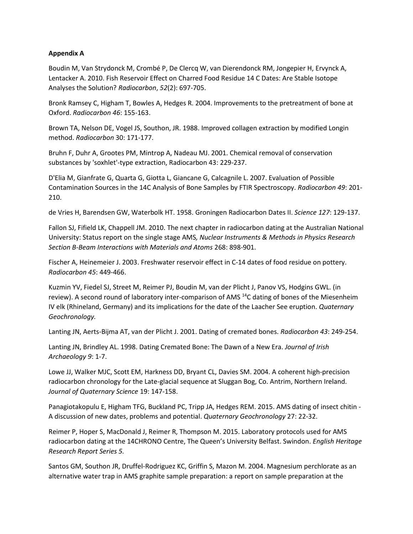#### **Appendix A**

Boudin M, Van Strydonck M, Crombé P, De Clercq W, van Dierendonck RM, Jongepier H, Ervynck A, Lentacker A. 2010. Fish Reservoir Effect on Charred Food Residue 14 C Dates: Are Stable Isotope Analyses the Solution? *Radiocarbon*, *52*(2): 697-705.

Bronk Ramsey C, Higham T, Bowles A, Hedges R. 2004. Improvements to the pretreatment of bone at Oxford. *Radiocarbon 46*: 155-163.

Brown TA, Nelson DE, Vogel JS, Southon, JR. 1988. Improved collagen extraction by modified Longin method. *Radiocarbon* 30: 171-177.

Bruhn F, Duhr A, Grootes PM, Mintrop A, Nadeau MJ. 2001. Chemical removal of conservation substances by 'soxhlet'-type extraction, Radiocarbon 43: 229-237.

D'Elia M, Gianfrate G, Quarta G, Giotta L, Giancane G, Calcagnile L. 2007. Evaluation of Possible Contamination Sources in the 14C Analysis of Bone Samples by FTIR Spectroscopy. *Radiocarbon 49*: 201- 210.

de Vries H, Barendsen GW, Waterbolk HT. 1958. Groningen Radiocarbon Dates II. *Science 127*: 129-137.

Fallon SJ, Fifield LK, Chappell JM. 2010. The next chapter in radiocarbon dating at the Australian National University: Status report on the single stage AMS*, Nuclear Instruments & Methods in Physics Research Section B-Beam Interactions with Materials and Atoms* 268: 898-901.

Fischer A, Heinemeier J. 2003. Freshwater reservoir effect in C-14 dates of food residue on pottery. *Radiocarbon 45*: 449-466.

Kuzmin YV, Fiedel SJ, Street M, Reimer PJ, Boudin M, van der Plicht J, Panov VS, Hodgins GWL. (in review). A second round of laboratory inter-comparison of AMS <sup>14</sup>C dating of bones of the Miesenheim IV elk (Rhineland, Germany) and its implications for the date of the Laacher See eruption. *Quaternary Geochronology.*

Lanting JN, Aerts-Bijma AT, van der Plicht J. 2001. Dating of cremated bones. *Radiocarbon 43*: 249-254.

Lanting JN, Brindley AL. 1998. Dating Cremated Bone: The Dawn of a New Era. *Journal of Irish Archaeology 9*: 1-7.

Lowe JJ, Walker MJC, Scott EM, Harkness DD, Bryant CL, Davies SM. 2004. A coherent high-precision radiocarbon chronology for the Late-glacial sequence at Sluggan Bog, Co. Antrim, Northern Ireland. *Journal of Quaternary Science* 19: 147-158.

Panagiotakopulu E, Higham TFG, Buckland PC, Tripp JA, Hedges REM. 2015. AMS dating of insect chitin - A discussion of new dates, problems and potential. *Quaternary Geochronology* 27: 22-32.

Reimer P, Hoper S, MacDonald J, Reimer R, Thompson M. 2015. Laboratory protocols used for AMS radiocarbon dating at the 14CHRONO Centre, The Queen's University Belfast. Swindon. *English Heritage Research Report Series 5.*

Santos GM, Southon JR, Druffel-Rodriguez KC, Griffin S, Mazon M. 2004. Magnesium perchlorate as an alternative water trap in AMS graphite sample preparation: a report on sample preparation at the